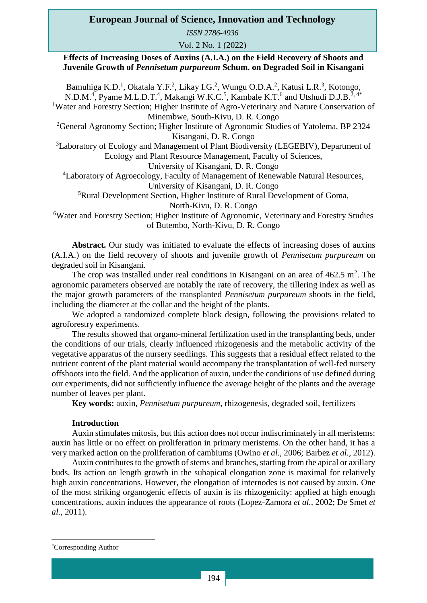*ISSN 2786-4936* 

Vol. 2 No. 1 (2022)

**Effects of Increasing Doses of Auxins (A.I.A.) on the Field Recovery of Shoots and Juvenile Growth of** *Pennisetum purpureum* **Schum. on Degraded Soil in Kisangani**

Bamuhiga K.D.<sup>1</sup>, Okatala Y.F.<sup>2</sup>, Likay I.G.<sup>2</sup>, Wungu O.D.A.<sup>2</sup>, Katusi L.R.<sup>3</sup>, Kotongo, N.D.M.<sup>4</sup>, Pyame M.L.D.T.<sup>4</sup>, Makangi W.K.C.<sup>5</sup>, Kambale K.T.<sup>6</sup> and Utshudi D.J.B.<sup>2, 4\*</sup> <sup>1</sup>Water and Forestry Section; Higher Institute of Agro-Veterinary and Nature Conservation of Minembwe, South-Kivu, D. R. Congo <sup>2</sup>General Agronomy Section; Higher Institute of Agronomic Studies of Yatolema, BP 2324 Kisangani, D. R. Congo <sup>3</sup>Laboratory of Ecology and Management of Plant Biodiversity (LEGEBIV), Department of Ecology and Plant Resource Management, Faculty of Sciences, University of Kisangani, D. R. Congo <sup>4</sup>Laboratory of Agroecology, Faculty of Management of Renewable Natural Resources, University of Kisangani, D. R. Congo <sup>5</sup>Rural Development Section, Higher Institute of Rural Development of Goma, North-Kivu, D. R. Congo

<sup>6</sup>Water and Forestry Section; Higher Institute of Agronomic, Veterinary and Forestry Studies of Butembo, North-Kivu, D. R. Congo

Abstract. Our study was initiated to evaluate the effects of increasing doses of auxins (A.I.A.) on the field recovery of shoots and juvenile growth of *Pennisetum purpureum* on degraded soil in Kisangani.

The crop was installed under real conditions in Kisangani on an area of  $462.5 \text{ m}^2$ . The agronomic parameters observed are notably the rate of recovery, the tillering index as well as the major growth parameters of the transplanted *Pennisetum purpureum* shoots in the field, including the diameter at the collar and the height of the plants.

We adopted a randomized complete block design, following the provisions related to agroforestry experiments.

The results showed that organo-mineral fertilization used in the transplanting beds, under the conditions of our trials, clearly influenced rhizogenesis and the metabolic activity of the vegetative apparatus of the nursery seedlings. This suggests that a residual effect related to the nutrient content of the plant material would accompany the transplantation of well-fed nursery offshoots into the field. And the application of auxin, under the conditions of use defined during our experiments, did not sufficiently influence the average height of the plants and the average number of leaves per plant.

**Key words:** auxin, *Pennisetum purpureum*, rhizogenesis, degraded soil, fertilizers

### **Introduction**

Auxin stimulates mitosis, but this action does not occur indiscriminately in all meristems: auxin has little or no effect on proliferation in primary meristems. On the other hand, it has a very marked action on the proliferation of cambiums (Owino *et al.,* 2006; Barbez *et al.,* 2012).

Auxin contributes to the growth of stems and branches, starting from the apical or axillary buds. Its action on length growth in the subapical elongation zone is maximal for relatively high auxin concentrations. However, the elongation of internodes is not caused by auxin. One of the most striking organogenic effects of auxin is its rhizogenicity: applied at high enough concentrations, auxin induces the appearance of roots (Lopez-Zamora *et al.,* 2002; De Smet *et al*., 2011).

**.** 

<sup>\*</sup>Corresponding Author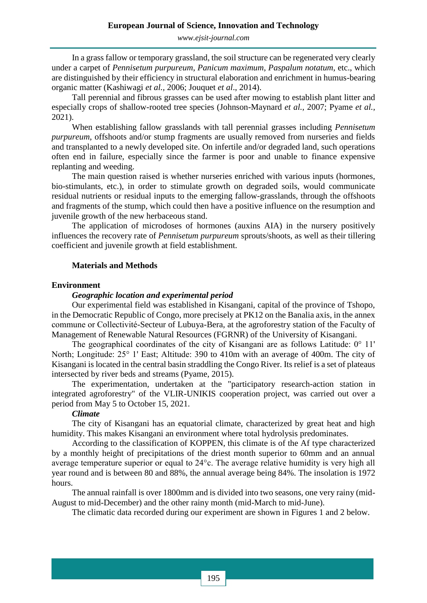In a grass fallow or temporary grassland, the soil structure can be regenerated very clearly under a carpet of *Pennisetum purpureum*, *Panicum maximum*, *Paspalum notatum*, etc., which are distinguished by their efficiency in structural elaboration and enrichment in humus-bearing organic matter (Kashiwagi *et al.,* 2006; Jouquet *et al*., 2014).

Tall perennial and fibrous grasses can be used after mowing to establish plant litter and especially crops of shallow-rooted tree species (Johnson-Maynard *et al.,* 2007; Pyame *et al.,* 2021).

When establishing fallow grasslands with tall perennial grasses including *Pennisetum purpureum*, offshoots and/or stump fragments are usually removed from nurseries and fields and transplanted to a newly developed site. On infertile and/or degraded land, such operations often end in failure, especially since the farmer is poor and unable to finance expensive replanting and weeding.

The main question raised is whether nurseries enriched with various inputs (hormones, bio-stimulants, etc.), in order to stimulate growth on degraded soils, would communicate residual nutrients or residual inputs to the emerging fallow-grasslands, through the offshoots and fragments of the stump, which could then have a positive influence on the resumption and juvenile growth of the new herbaceous stand.

The application of microdoses of hormones (auxins AIA) in the nursery positively influences the recovery rate of *Pennisetum purpureum* sprouts/shoots, as well as their tillering coefficient and juvenile growth at field establishment.

### **Materials and Methods**

#### **Environment**

#### *Geographic location and experimental period*

Our experimental field was established in Kisangani, capital of the province of Tshopo, in the Democratic Republic of Congo, more precisely at PK12 on the Banalia axis, in the annex commune or Collectivité-Secteur of Lubuya-Bera, at the agroforestry station of the Faculty of Management of Renewable Natural Resources (FGRNR) of the University of Kisangani.

The geographical coordinates of the city of Kisangani are as follows Latitude: 0° 11' North; Longitude: 25° 1' East; Altitude: 390 to 410m with an average of 400m. The city of Kisangani is located in the central basin straddling the Congo River. Its relief is a set of plateaus intersected by river beds and streams (Pyame, 2015).

The experimentation, undertaken at the "participatory research-action station in integrated agroforestry" of the VLIR-UNIKIS cooperation project, was carried out over a period from May 5 to October 15, 2021.

#### *Climate*

The city of Kisangani has an equatorial climate, characterized by great heat and high humidity. This makes Kisangani an environment where total hydrolysis predominates.

According to the classification of KOPPEN, this climate is of the Af type characterized by a monthly height of precipitations of the driest month superior to 60mm and an annual average temperature superior or equal to 24°c. The average relative humidity is very high all year round and is between 80 and 88%, the annual average being 84%. The insolation is 1972 hours.

The annual rainfall is over 1800mm and is divided into two seasons, one very rainy (mid-August to mid-December) and the other rainy month (mid-March to mid-June).

The climatic data recorded during our experiment are shown in Figures 1 and 2 below.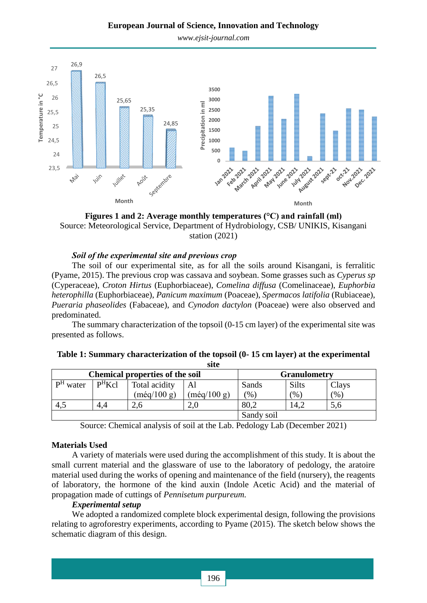

*[www.ejsit-journal.com](http://www.ejsit-journal.com/)*

**Figures 1 and 2: Average monthly temperatures (°C) and rainfall (ml)** Source: Meteorological Service, Department of Hydrobiology, CSB/ UNIKIS, Kisangani station (2021)

#### *Soil of the experimental site and previous crop*

The soil of our experimental site, as for all the soils around Kisangani, is ferralitic (Pyame, 2015). The previous crop was cassava and soybean. Some grasses such as *Cyperus sp*  (Cyperaceae), *Croton Hirtus* (Euphorbiaceae), *Comelina diffusa* (Comelinaceae), *Euphorbia heterophilla* (Euphorbiaceae), *Panicum maximum* (Poaceae), *Spermacos latifolia* (Rubiaceae), *Pueraria phaseolides* (Fabaceae), and *Cynodon dactylon* (Poaceae) were also observed and predominated.

The summary characterization of the topsoil (0-15 cm layer) of the experimental site was presented as follows.

| .                                      |             |                       |                       |                     |               |       |  |
|----------------------------------------|-------------|-----------------------|-----------------------|---------------------|---------------|-------|--|
| <b>Chemical properties of the soil</b> |             |                       |                       | <b>Granulometry</b> |               |       |  |
| $\mathbf{D}^{\mathrm{H}}$<br>water     | $P^{H}$ Kcl | Total acidity         | Al                    | Sands               | <b>Silts</b>  | Clays |  |
|                                        |             | $(m\acute{e}q/100 g)$ | $(m\acute{e}q/100 g)$ | $\frac{1}{2}$       | $\frac{1}{2}$ | (96)  |  |
| 4.5                                    | 4.4         |                       | z.u                   | 80,2                | 14.2          | 5.0   |  |
|                                        |             |                       |                       | Sandy soil          |               |       |  |

| Table 1: Summary characterization of the topsoil (0-15 cm layer) at the experimental |
|--------------------------------------------------------------------------------------|
| site                                                                                 |

Source: Chemical analysis of soil at the Lab. Pedology Lab (December 2021)

### **Materials Used**

A variety of materials were used during the accomplishment of this study. It is about the small current material and the glassware of use to the laboratory of pedology, the aratoire material used during the works of opening and maintenance of the field (nursery), the reagents of laboratory, the hormone of the kind auxin (Indole Acetic Acid) and the material of propagation made of cuttings of *Pennisetum purpureum.*

#### *Experimental setup*

We adopted a randomized complete block experimental design, following the provisions relating to agroforestry experiments, according to Pyame (2015). The sketch below shows the schematic diagram of this design.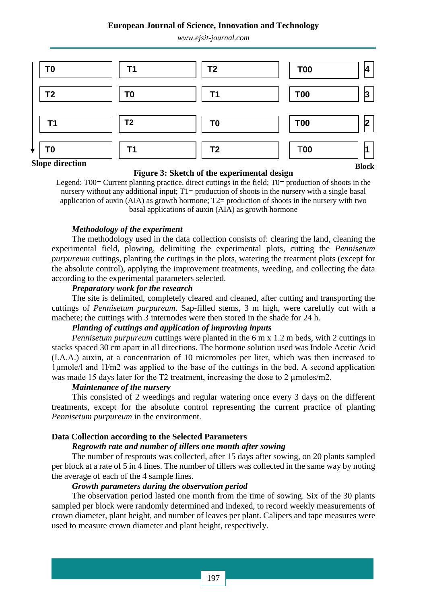*[www.ejsit-journal.com](http://www.ejsit-journal.com/)*



### **Slope direction**

#### **Figure 3: Sketch of the experimental design**

**Block**

Legend: T00= Current planting practice, direct cuttings in the field; T0= production of shoots in the nursery without any additional input; T1= production of shoots in the nursery with a single basal application of auxin (AIA) as growth hormone;  $T2$ = production of shoots in the nursery with two basal applications of auxin (AIA) as growth hormone

### *Methodology of the experiment*

The methodology used in the data collection consists of: clearing the land, cleaning the experimental field, plowing, delimiting the experimental plots, cutting the *Pennisetum purpureum* cuttings, planting the cuttings in the plots, watering the treatment plots (except for the absolute control), applying the improvement treatments, weeding, and collecting the data according to the experimental parameters selected.

### *Preparatory work for the research*

The site is delimited, completely cleared and cleaned, after cutting and transporting the cuttings of *Pennisetum purpureum*. Sap-filled stems, 3 m high, were carefully cut with a machete; the cuttings with 3 internodes were then stored in the shade for 24 h.

### *Planting of cuttings and application of improving inputs*

*Pennisetum purpureum* cuttings were planted in the 6 m x 1.2 m beds, with 2 cuttings in stacks spaced 30 cm apart in all directions. The hormone solution used was Indole Acetic Acid (I.A.A.) auxin, at a concentration of 10 micromoles per liter, which was then increased to 1µmole/l and 1l/m2 was applied to the base of the cuttings in the bed. A second application was made 15 days later for the T2 treatment, increasing the dose to 2 µmoles/m2.

### *Maintenance of the nursery*

This consisted of 2 weedings and regular watering once every 3 days on the different treatments, except for the absolute control representing the current practice of planting *Pennisetum purpureum* in the environment.

### **Data Collection according to the Selected Parameters**

### *Regrowth rate and number of tillers one month after sowing*

The number of resprouts was collected, after 15 days after sowing, on 20 plants sampled per block at a rate of 5 in 4 lines. The number of tillers was collected in the same way by noting the average of each of the 4 sample lines.

### *Growth parameters during the observation period*

The observation period lasted one month from the time of sowing. Six of the 30 plants sampled per block were randomly determined and indexed, to record weekly measurements of crown diameter, plant height, and number of leaves per plant. Calipers and tape measures were used to measure crown diameter and plant height, respectively.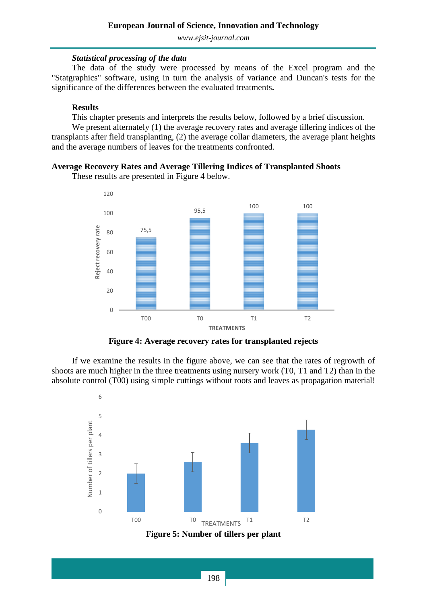### *Statistical processing of the data*

The data of the study were processed by means of the Excel program and the "Statgraphics" software, using in turn the analysis of variance and Duncan's tests for the significance of the differences between the evaluated treatments**.**

### **Results**

This chapter presents and interprets the results below, followed by a brief discussion.

We present alternately (1) the average recovery rates and average tillering indices of the transplants after field transplanting, (2) the average collar diameters, the average plant heights and the average numbers of leaves for the treatments confronted.

### **Average Recovery Rates and Average Tillering Indices of Transplanted Shoots**



These results are presented in Figure 4 below.

**Figure 4: Average recovery rates for transplanted rejects**

If we examine the results in the figure above, we can see that the rates of regrowth of shoots are much higher in the three treatments using nursery work (T0, T1 and T2) than in the absolute control (T00) using simple cuttings without roots and leaves as propagation material!



**Figure 5: Number of tillers per plant**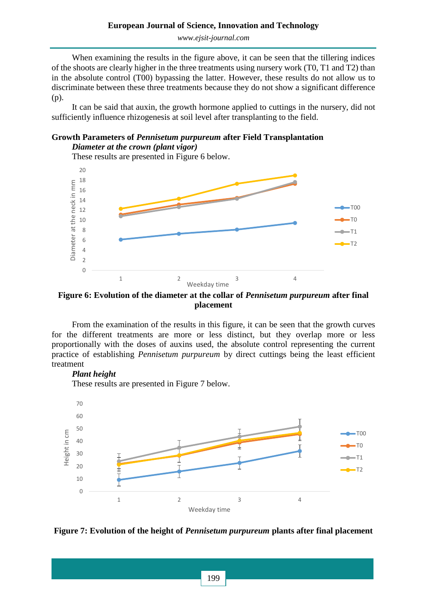When examining the results in the figure above, it can be seen that the tillering indices of the shoots are clearly higher in the three treatments using nursery work (T0, T1 and T2) than in the absolute control (T00) bypassing the latter. However, these results do not allow us to discriminate between these three treatments because they do not show a significant difference (p).

It can be said that auxin, the growth hormone applied to cuttings in the nursery, did not sufficiently influence rhizogenesis at soil level after transplanting to the field.

### **Growth Parameters of** *Pennisetum purpureum* **after Field Transplantation** *Diameter at the crown (plant vigor)*



**Figure 6: Evolution of the diameter at the collar of** *Pennisetum purpureum* **after final placement**

From the examination of the results in this figure, it can be seen that the growth curves for the different treatments are more or less distinct, but they overlap more or less proportionally with the doses of auxins used, the absolute control representing the current practice of establishing *Pennisetum purpureum* by direct cuttings being the least efficient treatment

### *Plant height*

These results are presented in Figure 7 below.





199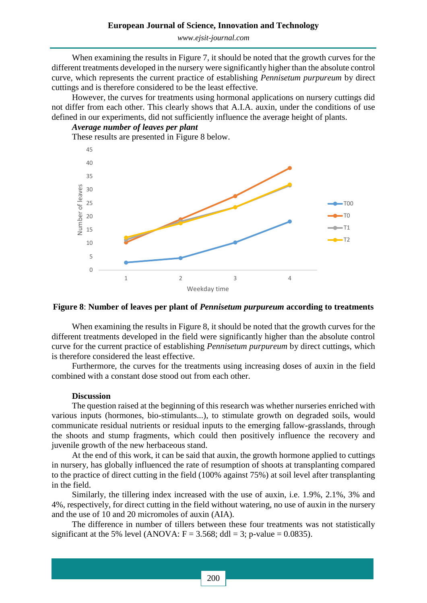When examining the results in Figure 7, it should be noted that the growth curves for the different treatments developed in the nursery were significantly higher than the absolute control curve, which represents the current practice of establishing *Pennisetum purpureum* by direct cuttings and is therefore considered to be the least effective.

However, the curves for treatments using hormonal applications on nursery cuttings did not differ from each other. This clearly shows that A.I.A. auxin, under the conditions of use defined in our experiments, did not sufficiently influence the average height of plants.

# *Average number of leaves per plant*

These results are presented in Figure 8 below.



#### **Figure 8**: **Number of leaves per plant of** *Pennisetum purpureum* **according to treatments**

When examining the results in Figure 8, it should be noted that the growth curves for the different treatments developed in the field were significantly higher than the absolute control curve for the current practice of establishing *Pennisetum purpureum* by direct cuttings, which is therefore considered the least effective.

Furthermore, the curves for the treatments using increasing doses of auxin in the field combined with a constant dose stood out from each other.

#### **Discussion**

The question raised at the beginning of this research was whether nurseries enriched with various inputs (hormones, bio-stimulants...), to stimulate growth on degraded soils, would communicate residual nutrients or residual inputs to the emerging fallow-grasslands, through the shoots and stump fragments, which could then positively influence the recovery and juvenile growth of the new herbaceous stand.

At the end of this work, it can be said that auxin, the growth hormone applied to cuttings in nursery, has globally influenced the rate of resumption of shoots at transplanting compared to the practice of direct cutting in the field (100% against 75%) at soil level after transplanting in the field.

Similarly, the tillering index increased with the use of auxin, i.e. 1.9%, 2.1%, 3% and 4%, respectively, for direct cutting in the field without watering, no use of auxin in the nursery and the use of 10 and 20 micromoles of auxin (AIA).

The difference in number of tillers between these four treatments was not statistically significant at the 5% level (ANOVA:  $F = 3.568$ ; ddl = 3; p-value = 0.0835).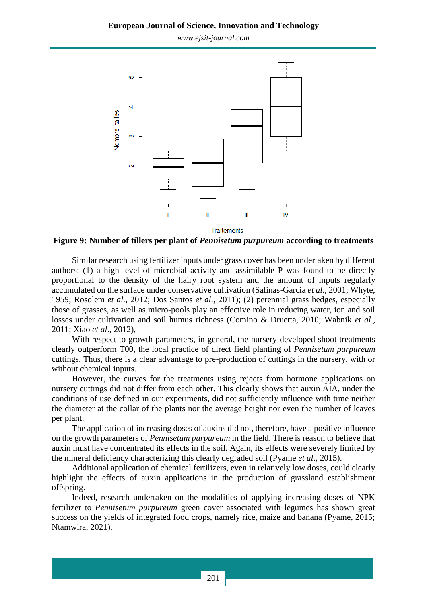

**Figure 9: Number of tillers per plant of** *Pennisetum purpureum* **according to treatments**

Similar research using fertilizer inputs under grass cover has been undertaken by different authors: (1) a high level of microbial activity and assimilable P was found to be directly proportional to the density of the hairy root system and the amount of inputs regularly accumulated on the surface under conservative cultivation (Salinas-Garcia *et al*., 2001; Whyte, 1959; Rosolem *et al.,* 2012; Dos Santos *et al*., 2011); (2) perennial grass hedges, especially those of grasses, as well as micro-pools play an effective role in reducing water, ion and soil losses under cultivation and soil humus richness (Comino & Druetta, 2010; Wabnik *et al*., 2011; Xiao *et al*., 2012),

With respect to growth parameters, in general, the nursery-developed shoot treatments clearly outperform T00, the local practice of direct field planting of *Pennisetum purpureum* cuttings. Thus, there is a clear advantage to pre-production of cuttings in the nursery, with or without chemical inputs.

However, the curves for the treatments using rejects from hormone applications on nursery cuttings did not differ from each other. This clearly shows that auxin AIA, under the conditions of use defined in our experiments, did not sufficiently influence with time neither the diameter at the collar of the plants nor the average height nor even the number of leaves per plant.

The application of increasing doses of auxins did not, therefore, have a positive influence on the growth parameters of *Pennisetum purpureum* in the field. There is reason to believe that auxin must have concentrated its effects in the soil. Again, its effects were severely limited by the mineral deficiency characterizing this clearly degraded soil (Pyame *et al*., 2015).

Additional application of chemical fertilizers, even in relatively low doses, could clearly highlight the effects of auxin applications in the production of grassland establishment offspring.

Indeed, research undertaken on the modalities of applying increasing doses of NPK fertilizer to *Pennisetum purpureum* green cover associated with legumes has shown great success on the yields of integrated food crops, namely rice, maize and banana (Pyame, 2015; Ntamwira, 2021).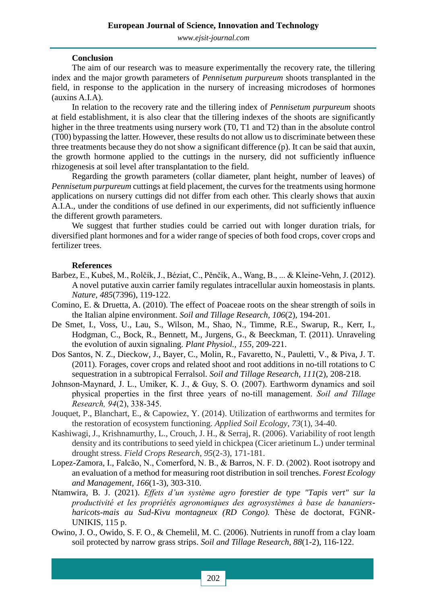### **Conclusion**

The aim of our research was to measure experimentally the recovery rate, the tillering index and the major growth parameters of *Pennisetum purpureum* shoots transplanted in the field, in response to the application in the nursery of increasing microdoses of hormones (auxins A.I.A).

In relation to the recovery rate and the tillering index of *Pennisetum purpureum* shoots at field establishment, it is also clear that the tillering indexes of the shoots are significantly higher in the three treatments using nursery work (T0, T1 and T2) than in the absolute control (T00) bypassing the latter. However, these results do not allow us to discriminate between these three treatments because they do not show a significant difference (p). It can be said that auxin, the growth hormone applied to the cuttings in the nursery, did not sufficiently influence rhizogenesis at soil level after transplantation to the field.

Regarding the growth parameters (collar diameter, plant height, number of leaves) of *Pennisetum purpureum* cuttings at field placement, the curves for the treatments using hormone applications on nursery cuttings did not differ from each other. This clearly shows that auxin A.I.A., under the conditions of use defined in our experiments, did not sufficiently influence the different growth parameters.

We suggest that further studies could be carried out with longer duration trials, for diversified plant hormones and for a wider range of species of both food crops, cover crops and fertilizer trees.

### **References**

- Barbez, E., Kubeš, M., Rolčík, J., Béziat, C., Pěnčík, A., Wang, B., ... & Kleine-Vehn, J. (2012). A novel putative auxin carrier family regulates intracellular auxin homeostasis in plants. *Nature, 485*(7396), 119-122.
- Comino, E. & Druetta, A. (2010). The effect of Poaceae roots on the shear strength of soils in the Italian alpine environment. *Soil and Tillage Research, 106*(2), 194-201.
- De Smet, I., Voss, U., Lau, S., Wilson, M., Shao, N., Timme, R.E., Swarup, R., Kerr, I., Hodgman, C., Bock, R., Bennett, M., Jurgens, G., & Beeckman, T. (2011). Unraveling the evolution of auxin signaling. *Plant Physiol., 155*, 209-221.
- Dos Santos, N. Z., Dieckow, J., Bayer, C., Molin, R., Favaretto, N., Pauletti, V., & Piva, J. T. (2011). Forages, cover crops and related shoot and root additions in no-till rotations to C sequestration in a subtropical Ferralsol. *Soil and Tillage Research, 111*(2), 208-218.
- Johnson-Maynard, J. L., Umiker, K. J., & Guy, S. O. (2007). Earthworm dynamics and soil physical properties in the first three years of no-till management. *Soil and Tillage Research, 94*(2), 338-345.
- Jouquet, P., Blanchart, E., & Capowiez, Y. (2014). Utilization of earthworms and termites for the restoration of ecosystem functioning. *Applied Soil Ecology*, *73*(1), 34-40.
- Kashiwagi, J., Krishnamurthy, L., Crouch, J. H., & Serraj, R. (2006). Variability of root length density and its contributions to seed yield in chickpea (Cicer arietinum L.) under terminal drought stress. *Field Crops Research*, *95*(2-3), 171-181.
- Lopez-Zamora, I., Falcão, N., Comerford, N. B., & Barros, N. F. D. (2002). Root isotropy and an evaluation of a method for measuring root distribution in soil trenches. *Forest Ecology and Management*, *166*(1-3), 303-310.
- Ntamwira, B. J. (2021). *Effets d'un système agro forestier de type "Tapis vert" sur la productivité et les propriétés agronomiques des agrosystèmes à base de bananiersharicots-mais au Sud-Kivu montagneux (RD Congo).* Thèse de doctorat, FGNR-UNIKIS, 115 p.
- Owino, J. O., Owido, S. F. O., & Chemelil, M. C. (2006). Nutrients in runoff from a clay loam soil protected by narrow grass strips. *Soil and Tillage Research*, *88*(1-2), 116-122.